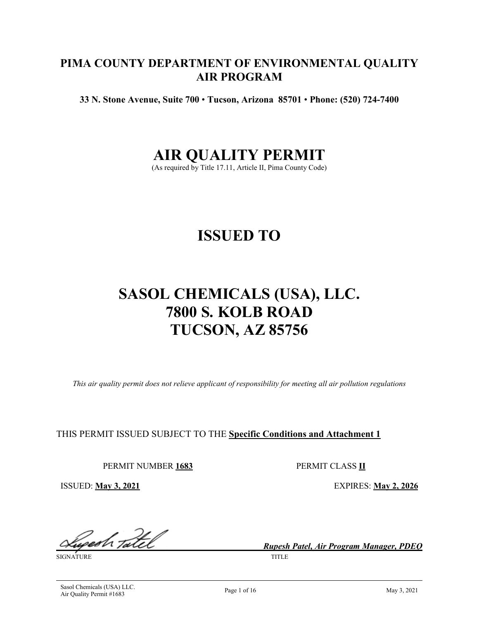# **PIMA COUNTY DEPARTMENT OF ENVIRONMENTAL QUALITY AIR PROGRAM**

**33 N. Stone Avenue, Suite 700** • **Tucson, Arizona 85701** • **Phone: (520) 724-7400**

# **AIR QUALITY PERMIT**

(As required by Title 17.11, Article II, Pima County Code)

# **ISSUED TO**

# **SASOL CHEMICALS (USA), LLC. 7800 S. KOLB ROAD TUCSON, AZ 85756**

*This air quality permit does not relieve applicant of responsibility for meeting all air pollution regulations*

THIS PERMIT ISSUED SUBJECT TO THE **Specific Conditions and Attachment 1**

PERMIT NUMBER **1683** PERMIT CLASS **II**

ISSUED: **May 3, 2021** EXPIRES: **May 2, 2026**

<u>gedh tatel</u>

SIGNATURE TITLE

*Rupesh Patel, Air Program Manager, PDEQ*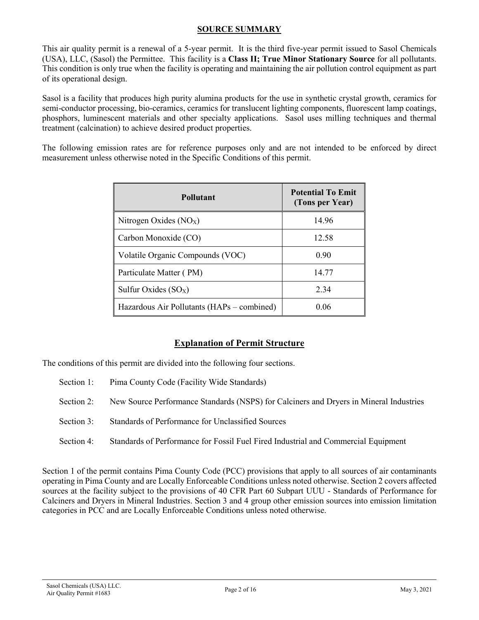#### **SOURCE SUMMARY**

This air quality permit is a renewal of a 5-year permit. It is the third five-year permit issued to Sasol Chemicals (USA), LLC, (Sasol) the Permittee. This facility is a **Class II; True Minor Stationary Source** for all pollutants. This condition is only true when the facility is operating and maintaining the air pollution control equipment as part of its operational design.

Sasol is a facility that produces high purity alumina products for the use in synthetic crystal growth, ceramics for semi-conductor processing, bio-ceramics, ceramics for translucent lighting components, fluorescent lamp coatings, phosphors, luminescent materials and other specialty applications. Sasol uses milling techniques and thermal treatment (calcination) to achieve desired product properties.

The following emission rates are for reference purposes only and are not intended to be enforced by direct measurement unless otherwise noted in the Specific Conditions of this permit.

| <b>Pollutant</b>                           | <b>Potential To Emit</b><br>(Tons per Year) |
|--------------------------------------------|---------------------------------------------|
| Nitrogen Oxides $(NOX)$                    | 14.96                                       |
| Carbon Monoxide (CO)                       | 12.58                                       |
| Volatile Organic Compounds (VOC)           | 0.90                                        |
| Particulate Matter (PM)                    | 14.77                                       |
| Sulfur Oxides $(SO_X)$                     | 2.34                                        |
| Hazardous Air Pollutants (HAPs – combined) | 0.06                                        |

# **Explanation of Permit Structure**

The conditions of this permit are divided into the following four sections.

- Section 1: Pima County Code (Facility Wide Standards)
- Section 2: New Source Performance Standards (NSPS) for Calciners and Dryers in Mineral Industries
- Section 3: Standards of Performance for Unclassified Sources
- Section 4: Standards of Performance for Fossil Fuel Fired Industrial and Commercial Equipment

Section 1 of the permit contains Pima County Code (PCC) provisions that apply to all sources of air contaminants operating in Pima County and are Locally Enforceable Conditions unless noted otherwise. Section 2 covers affected sources at the facility subject to the provisions of 40 CFR Part 60 Subpart UUU - Standards of Performance for Calciners and Dryers in Mineral Industries. Section 3 and 4 group other emission sources into emission limitation categories in PCC and are Locally Enforceable Conditions unless noted otherwise.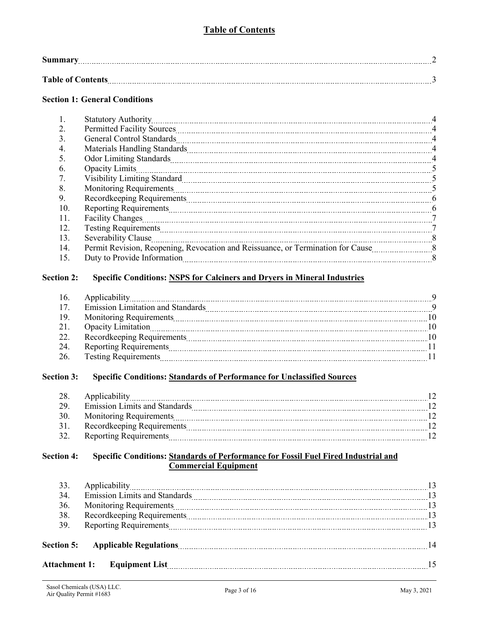# **Table of Contents**

| <b>Table of Contents</b><br>------------ |  |
|------------------------------------------|--|

# **Section 1: General Conditions**

| 1.  |                                                                                                                                                                                                                                | $\overline{4}$ |
|-----|--------------------------------------------------------------------------------------------------------------------------------------------------------------------------------------------------------------------------------|----------------|
| 2.  | Permitted Facility Sources [100] Array and Termitted Facility Sources [100] Array and Termitted Facility Sources [100] Array and Termin and Array and Array and Array and Array and Array and Array and Array and Array and Ar |                |
| 3.  |                                                                                                                                                                                                                                | $\overline{4}$ |
| 4.  |                                                                                                                                                                                                                                | $\overline{4}$ |
| 5.  |                                                                                                                                                                                                                                | $\overline{4}$ |
| 6.  | <b>Opacity Limits</b>                                                                                                                                                                                                          |                |
| 7.  | Visibility Limiting Standard Martin Martin Martin March 2014 (Standard Martin Martin Martin Martin Martin Mart                                                                                                                 |                |
| 8.  |                                                                                                                                                                                                                                | $\overline{5}$ |
| 9.  |                                                                                                                                                                                                                                | -6             |
| 10. |                                                                                                                                                                                                                                | -6             |
| 11. | Facility Changes                                                                                                                                                                                                               | -7             |
| 12. |                                                                                                                                                                                                                                |                |
| 13. | Severability Clause                                                                                                                                                                                                            | . 8            |
| 14. |                                                                                                                                                                                                                                |                |
| 15. | Duty to Provide Information                                                                                                                                                                                                    | - 8            |
|     |                                                                                                                                                                                                                                |                |

# **Section 2: Specific Conditions: NSPS for Calciners and Dryers in Mineral Industries**

| 16. |                                                                                                                |    |
|-----|----------------------------------------------------------------------------------------------------------------|----|
| 17. | <b>Emission Limitation and Standards</b>                                                                       | Q  |
| 19. | Monitoring Requirements Manual Communication and Communication and Requirements Manual Communication and Manua | 10 |
| 21. |                                                                                                                | 10 |
| 22. |                                                                                                                | 10 |
| 24. |                                                                                                                |    |
| 26. | <b>Testing Requirements</b>                                                                                    |    |

### **Section 3: Specific Conditions: Standards of Performance for Unclassified Sources**

| 28.  | Applicability                        |  |
|------|--------------------------------------|--|
| -29  | <b>Emission Limits and Standards</b> |  |
| 30   | <b>Monitoring Requirements</b>       |  |
| 31.  | Recordkeeping Requirements           |  |
| - 32 | <b>Reporting Requirements</b>        |  |

#### **Section 4: Specific Conditions: Standards of Performance for Fossil Fuel Fired Industrial and Commercial Equipment**

| 33.                  |                                                                                                                                                                                                                               |    |
|----------------------|-------------------------------------------------------------------------------------------------------------------------------------------------------------------------------------------------------------------------------|----|
| 34.                  | <b>Emission Limits and Standards</b>                                                                                                                                                                                          |    |
| 36.                  | Monitoring Requirements 2000 and 2000 and 2000 and 2000 and 2000 and 2000 and 2000 and 2000 and 2000 and 2000 and 2000 and 2000 and 2000 and 2000 and 2000 and 2000 and 2000 and 2000 and 2000 and 2000 and 2000 and 2000 and |    |
| 38.                  |                                                                                                                                                                                                                               | 13 |
| 39.                  | Reporting Requirements 13                                                                                                                                                                                                     |    |
| <b>Section 5:</b>    |                                                                                                                                                                                                                               |    |
| <b>Attachment 1:</b> | <b>Equipment List</b>                                                                                                                                                                                                         |    |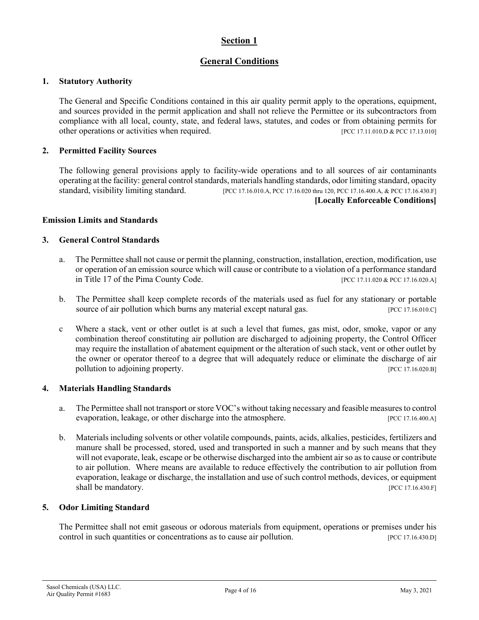# **Section 1**

# **General Conditions**

#### **1. Statutory Authority**

The General and Specific Conditions contained in this air quality permit apply to the operations, equipment, and sources provided in the permit application and shall not relieve the Permittee or its subcontractors from compliance with all local, county, state, and federal laws, statutes, and codes or from obtaining permits for other operations or activities when required. [PCC 17.11.010.D & PCC 17.13.010]

#### **2. Permitted Facility Sources**

The following general provisions apply to facility-wide operations and to all sources of air contaminants operating at the facility: general control standards, materials handling standards, odor limiting standard, opacity standard, visibility limiting standard. [PCC 17.16.010.A, PCC 17.16.020 thru 120, PCC 17.16.400.A, & PCC 17.16.430.F] **[Locally Enforceable Conditions]**

#### **Emission Limits and Standards**

#### **3. General Control Standards**

- a. The Permittee shall not cause or permit the planning, construction, installation, erection, modification, use or operation of an emission source which will cause or contribute to a violation of a performance standard in Title 17 of the Pima County Code. [PCC 17.11.020 & PCC 17.11.020 & PCC 17.16.020.A]
- b. The Permittee shall keep complete records of the materials used as fuel for any stationary or portable source of air pollution which burns any material except natural gas. [PCC 17.16.010.C]
- c Where a stack, vent or other outlet is at such a level that fumes, gas mist, odor, smoke, vapor or any combination thereof constituting air pollution are discharged to adjoining property, the Control Officer may require the installation of abatement equipment or the alteration of such stack, vent or other outlet by the owner or operator thereof to a degree that will adequately reduce or eliminate the discharge of air pollution to adjoining property. [PCC 17.16.020.B]

#### **4. Materials Handling Standards**

- a. The Permittee shall not transport or store VOC's without taking necessary and feasible measures to control evaporation, leakage, or other discharge into the atmosphere. [PCC 17.16.400.A]
- b. Materials including solvents or other volatile compounds, paints, acids, alkalies, pesticides, fertilizers and manure shall be processed, stored, used and transported in such a manner and by such means that they will not evaporate, leak, escape or be otherwise discharged into the ambient air so as to cause or contribute to air pollution. Where means are available to reduce effectively the contribution to air pollution from evaporation, leakage or discharge, the installation and use of such control methods, devices, or equipment shall be mandatory. [PCC 17.16.430.F]

#### **5. Odor Limiting Standard**

The Permittee shall not emit gaseous or odorous materials from equipment, operations or premises under his control in such quantities or concentrations as to cause air pollution. [PCC 17.16.430.D]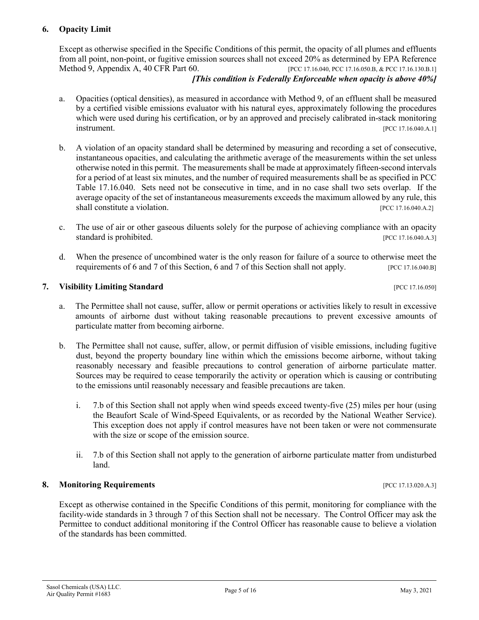### **6. Opacity Limit**

Except as otherwise specified in the Specific Conditions of this permit, the opacity of all plumes and effluents from all point, non-point, or fugitive emission sources shall not exceed 20% as determined by EPA Reference Method 9, Appendix A, 40 CFR Part 60. [PCC 17.16.040, PCC 17.16.050.B, & PCC 17.16.130.B.1]

#### *[This condition is Federally Enforceable when opacity is above 40%]*

- a. Opacities (optical densities), as measured in accordance with Method 9, of an effluent shall be measured by a certified visible emissions evaluator with his natural eyes, approximately following the procedures which were used during his certification, or by an approved and precisely calibrated in-stack monitoring **instrument.** [PCC 17.16.040.A.1]
- b. A violation of an opacity standard shall be determined by measuring and recording a set of consecutive, instantaneous opacities, and calculating the arithmetic average of the measurements within the set unless otherwise noted in this permit. The measurements shall be made at approximately fifteen-second intervals for a period of at least six minutes, and the number of required measurements shall be as specified in PCC Table 17.16.040. Sets need not be consecutive in time, and in no case shall two sets overlap. If the average opacity of the set of instantaneous measurements exceeds the maximum allowed by any rule, this shall constitute a violation. [PCC 17.16.040.A.2]
- c. The use of air or other gaseous diluents solely for the purpose of achieving compliance with an opacity standard is prohibited. [PCC 17.16.040.A.3]
- d. When the presence of uncombined water is the only reason for failure of a source to otherwise meet the requirements of 6 and 7 of this Section, 6 and 7 of this Section shall not apply. [PCC 17.16.040.B]

#### **7. Visibility Limiting Standard Example 2018 [PCC 17.16.050] PCC 17.16.050**

- a. The Permittee shall not cause, suffer, allow or permit operations or activities likely to result in excessive amounts of airborne dust without taking reasonable precautions to prevent excessive amounts of particulate matter from becoming airborne.
- b. The Permittee shall not cause, suffer, allow, or permit diffusion of visible emissions, including fugitive dust, beyond the property boundary line within which the emissions become airborne, without taking reasonably necessary and feasible precautions to control generation of airborne particulate matter. Sources may be required to cease temporarily the activity or operation which is causing or contributing to the emissions until reasonably necessary and feasible precautions are taken.
	- i. 7.b of this Section shall not apply when wind speeds exceed twenty-five (25) miles per hour (using the Beaufort Scale of Wind-Speed Equivalents, or as recorded by the National Weather Service). This exception does not apply if control measures have not been taken or were not commensurate with the size or scope of the emission source.
	- ii. 7.b of this Section shall not apply to the generation of airborne particulate matter from undisturbed land.

#### **8. Monitoring Requirements 18. In the sequence of the sequence of the sequence of the sequence of the sequence of the sequence of the sequence of the sequence of the sequence of the sequence of the sequence of the seque**

Except as otherwise contained in the Specific Conditions of this permit, monitoring for compliance with the facility-wide standards in 3 through 7 of this Section shall not be necessary. The Control Officer may ask the Permittee to conduct additional monitoring if the Control Officer has reasonable cause to believe a violation of the standards has been committed.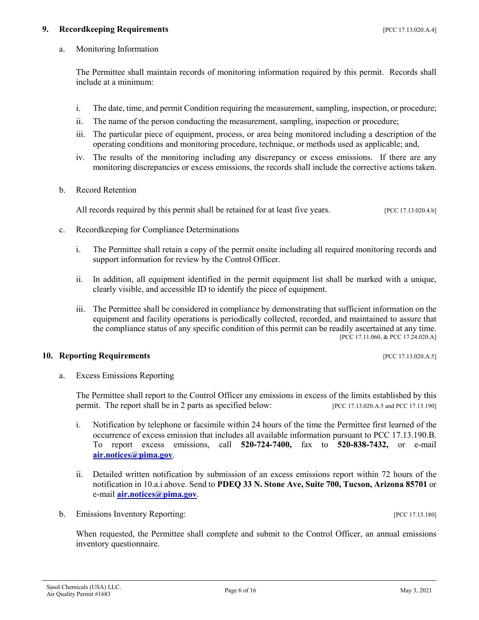#### **9. Recordkeeping Requirements 19.13.020.4.4**]

a. Monitoring Information

The Permittee shall maintain records of monitoring information required by this permit. Records shall include at a minimum:

- i. The date, time, and permit Condition requiring the measurement, sampling, inspection, or procedure;
- ii. The name of the person conducting the measurement, sampling, inspection or procedure;
- iii. The particular piece of equipment, process, or area being monitored including a description of the operating conditions and monitoring procedure, technique, or methods used as applicable; and,
- iv. The results of the monitoring including any discrepancy or excess emissions. If there are any monitoring discrepancies or excess emissions, the records shall include the corrective actions taken.
- b. Record Retention

All records required by this permit shall be retained for at least five years. [PCC 17.13.020.4.b]

- c. Recordkeeping for Compliance Determinations
	- i. The Permittee shall retain a copy of the permit onsite including all required monitoring records and support information for review by the Control Officer.
	- ii. In addition, all equipment identified in the permit equipment list shall be marked with a unique, clearly visible, and accessible ID to identify the piece of equipment.
	- iii. The Permittee shall be considered in compliance by demonstrating that sufficient information on the equipment and facility operations is periodically collected, recorded, and maintained to assure that the compliance status of any specific condition of this permit can be readily ascertained at any time. [PCC 17.11.060, & PCC 17.24.020.A]

#### **10. Reporting Requirements in the set of the set of the set of the set of the set of the set of the set of the set of the set of the set of the set of the set of the set of the set of the set of the set of the set of th**

a. Excess Emissions Reporting

The Permittee shall report to the Control Officer any emissions in excess of the limits established by this permit. The report shall be in 2 parts as specified below: [PCC 17.13.020.A.5 and PCC 17.13.190]

- i. Notification by telephone or facsimile within 24 hours of the time the Permittee first learned of the occurrence of excess emission that includes all available information pursuant to PCC 17.13.190.B. To report excess emissions, call **520-724-7400,** fax to **520-838-7432,** or e-mail **[air.notices@pima.gov](mailto:air.notices@pima.gov)**.
- ii. Detailed written notification by submission of an excess emissions report within 72 hours of the notification in 10.a.i above. Send to **PDEQ 33 N. Stone Ave, Suite 700, Tucson, Arizona 85701** or e-mail **[air.notices@pima.gov](mailto:air.notices@pima.gov)**.
- b. Emissions Inventory Reporting: [PCC 17.13.180]

When requested, the Permittee shall complete and submit to the Control Officer, an annual emissions inventory questionnaire.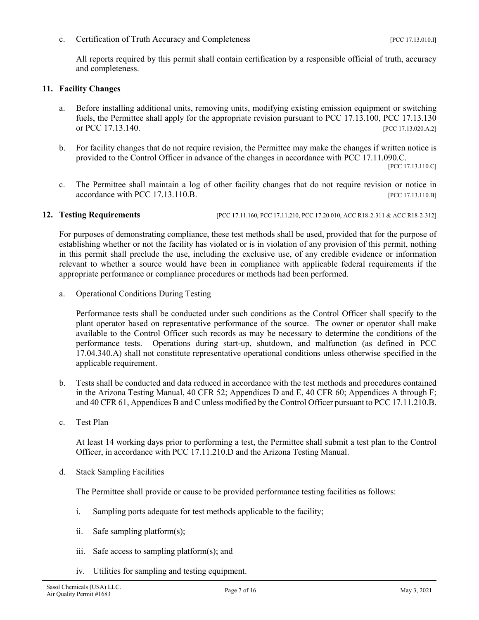c. Certification of Truth Accuracy and Completeness [PCC 17.13.010.I]

All reports required by this permit shall contain certification by a responsible official of truth, accuracy and completeness.

#### **11. Facility Changes**

- a. Before installing additional units, removing units, modifying existing emission equipment or switching fuels, the Permittee shall apply for the appropriate revision pursuant to PCC 17.13.100, PCC 17.13.130 or PCC 17.13.140. [PCC 17.13.020.A.2]
- b. For facility changes that do not require revision, the Permittee may make the changes if written notice is provided to the Control Officer in advance of the changes in accordance with PCC 17.11.090.C.

[PCC 17.13.110.C]

c. The Permittee shall maintain a log of other facility changes that do not require revision or notice in accordance with PCC 17.13.110.B. [PCC 17.13.110.B]

#### **12. Testing Requirements** [PCC 17.11.160, PCC 17.11.210, PCC 17.20.010, ACC R18-2-311 & ACC R18-2-312]

For purposes of demonstrating compliance, these test methods shall be used, provided that for the purpose of establishing whether or not the facility has violated or is in violation of any provision of this permit, nothing in this permit shall preclude the use, including the exclusive use, of any credible evidence or information relevant to whether a source would have been in compliance with applicable federal requirements if the appropriate performance or compliance procedures or methods had been performed.

a. Operational Conditions During Testing

Performance tests shall be conducted under such conditions as the Control Officer shall specify to the plant operator based on representative performance of the source. The owner or operator shall make available to the Control Officer such records as may be necessary to determine the conditions of the performance tests. Operations during start-up, shutdown, and malfunction (as defined in PCC 17.04.340.A) shall not constitute representative operational conditions unless otherwise specified in the applicable requirement.

- b. Tests shall be conducted and data reduced in accordance with the test methods and procedures contained in the Arizona Testing Manual, 40 CFR 52; Appendices D and E, 40 CFR 60; Appendices A through F; and 40 CFR 61, Appendices B and C unless modified by the Control Officer pursuant to PCC 17.11.210.B.
- c. Test Plan

At least 14 working days prior to performing a test, the Permittee shall submit a test plan to the Control Officer, in accordance with PCC 17.11.210.D and the Arizona Testing Manual.

d. Stack Sampling Facilities

The Permittee shall provide or cause to be provided performance testing facilities as follows:

- i. Sampling ports adequate for test methods applicable to the facility;
- ii. Safe sampling platform(s);
- iii. Safe access to sampling platform(s); and
- iv. Utilities for sampling and testing equipment.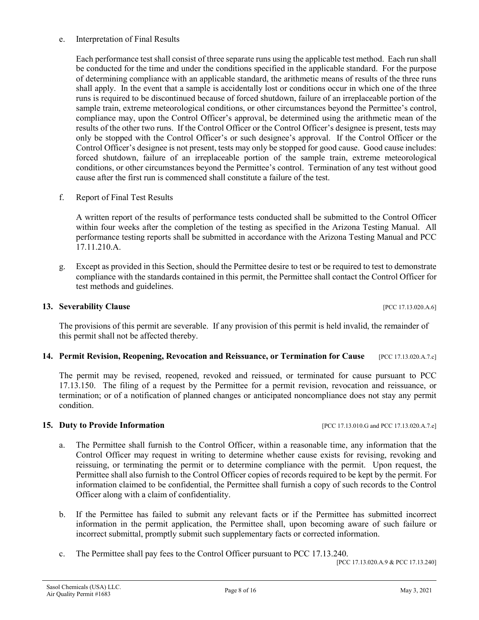#### e. Interpretation of Final Results

Each performance test shall consist of three separate runs using the applicable test method. Each run shall be conducted for the time and under the conditions specified in the applicable standard. For the purpose of determining compliance with an applicable standard, the arithmetic means of results of the three runs shall apply. In the event that a sample is accidentally lost or conditions occur in which one of the three runs is required to be discontinued because of forced shutdown, failure of an irreplaceable portion of the sample train, extreme meteorological conditions, or other circumstances beyond the Permittee's control, compliance may, upon the Control Officer's approval, be determined using the arithmetic mean of the results of the other two runs. If the Control Officer or the Control Officer's designee is present, tests may only be stopped with the Control Officer's or such designee's approval. If the Control Officer or the Control Officer's designee is not present, tests may only be stopped for good cause. Good cause includes: forced shutdown, failure of an irreplaceable portion of the sample train, extreme meteorological conditions, or other circumstances beyond the Permittee's control. Termination of any test without good cause after the first run is commenced shall constitute a failure of the test.

f. Report of Final Test Results

A written report of the results of performance tests conducted shall be submitted to the Control Officer within four weeks after the completion of the testing as specified in the Arizona Testing Manual. All performance testing reports shall be submitted in accordance with the Arizona Testing Manual and PCC 17.11.210.A.

g. Except as provided in this Section, should the Permittee desire to test or be required to test to demonstrate compliance with the standards contained in this permit, the Permittee shall contact the Control Officer for test methods and guidelines.

#### **13. Severability Clause 17.13.020.A.6]**

The provisions of this permit are severable. If any provision of this permit is held invalid, the remainder of this permit shall not be affected thereby.

#### **14. Permit Revision, Reopening, Revocation and Reissuance, or Termination for Cause** [PCC 17.13.020.A.7.c]

The permit may be revised, reopened, revoked and reissued, or terminated for cause pursuant to PCC 17.13.150. The filing of a request by the Permittee for a permit revision, revocation and reissuance, or termination; or of a notification of planned changes or anticipated noncompliance does not stay any permit condition.

#### **15. Duty to Provide Information 15. Duty to Provide Information 1988 1998 1998 1998 1999 1999 1999 1999 1999 1999 1999 1999 1999 1999 1999 1999 1999 1999 1999 1999 1999 1999**

- a. The Permittee shall furnish to the Control Officer, within a reasonable time, any information that the Control Officer may request in writing to determine whether cause exists for revising, revoking and reissuing, or terminating the permit or to determine compliance with the permit. Upon request, the Permittee shall also furnish to the Control Officer copies of records required to be kept by the permit. For information claimed to be confidential, the Permittee shall furnish a copy of such records to the Control Officer along with a claim of confidentiality.
- b. If the Permittee has failed to submit any relevant facts or if the Permittee has submitted incorrect information in the permit application, the Permittee shall, upon becoming aware of such failure or incorrect submittal, promptly submit such supplementary facts or corrected information.
- c. The Permittee shall pay fees to the Control Officer pursuant to PCC 17.13.240.

[PCC 17.13.020.A.9 & PCC 17.13.240]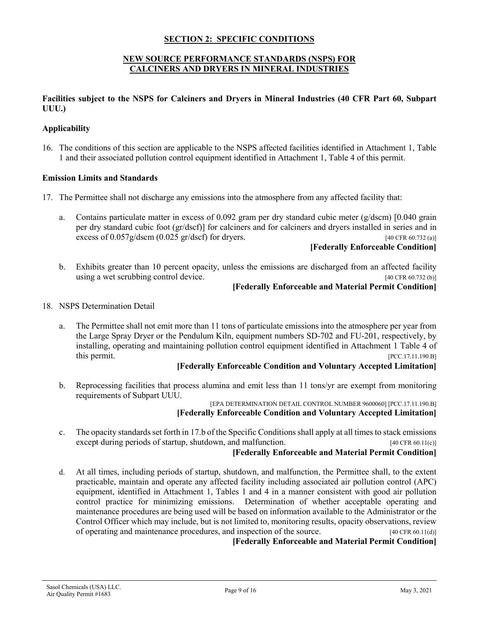#### **SECTION 2: SPECIFIC CONDITIONS**

#### **NEW SOURCE PERFORMANCE STANDARDS (NSPS) FOR CALCINERS AND DRYERS IN MINERAL INDUSTRIES**

#### **Facilities subject to the NSPS for Calciners and Dryers in Mineral Industries (40 CFR Part 60, Subpart UUU.)**

#### **Applicability**

16. The conditions of this section are applicable to the NSPS affected facilities identified in Attachment 1, Table 1 and their associated pollution control equipment identified in Attachment 1, Table 4 of this permit.

#### **Emission Limits and Standards**

- 17. The Permittee shall not discharge any emissions into the atmosphere from any affected facility that:
	- a. Contains particulate matter in excess of 0.092 gram per dry standard cubic meter (g/dscm) [0.040 grain per dry standard cubic foot (gr/dscf)] for calciners and for calciners and dryers installed in series and in excess of  $0.057g/dscm$  (0.025 gr/dscf) for dryers. [40 CFR 60.732 (a)]

#### **[Federally Enforceable Condition]**

b. Exhibits greater than 10 percent opacity, unless the emissions are discharged from an affected facility using a wet scrubbing control device. [40 CFR 60.732 (b)]

#### **[Federally Enforceable and Material Permit Condition]**

#### 18. NSPS Determination Detail

a. The Permittee shall not emit more than 11 tons of particulate emissions into the atmosphere per year from the Large Spray Dryer or the Pendulum Kiln, equipment numbers SD-702 and FU-201, respectively, by installing, operating and maintaining pollution control equipment identified in Attachment 1 Table 4 of this permit. [PCC.17.11.190.B]

#### **[Federally Enforceable Condition and Voluntary Accepted Limitation]**

b. Reprocessing facilities that process alumina and emit less than 11 tons/yr are exempt from monitoring requirements of Subpart UUU.

[EPA DETERMINATION DETAIL CONTROL NUMBER 9600060] [PCC.17.11.190.B] **[Federally Enforceable Condition and Voluntary Accepted Limitation]**

c. The opacity standards set forth in 17.b of the Specific Conditions shall apply at all times to stack emissions except during periods of startup, shutdown, and malfunction. [40 CFR 60.11(c)]

#### **[Federally Enforceable and Material Permit Condition]**

d. At all times, including periods of startup, shutdown, and malfunction, the Permittee shall, to the extent practicable, maintain and operate any affected facility including associated air pollution control (APC) equipment, identified in Attachment 1, Tables 1 and 4 in a manner consistent with good air pollution control practice for minimizing emissions. Determination of whether acceptable operating and maintenance procedures are being used will be based on information available to the Administrator or the Control Officer which may include, but is not limited to, monitoring results, opacity observations, review of operating and maintenance procedures, and inspection of the source. [40 CFR 60.11(d)]

**[Federally Enforceable and Material Permit Condition]**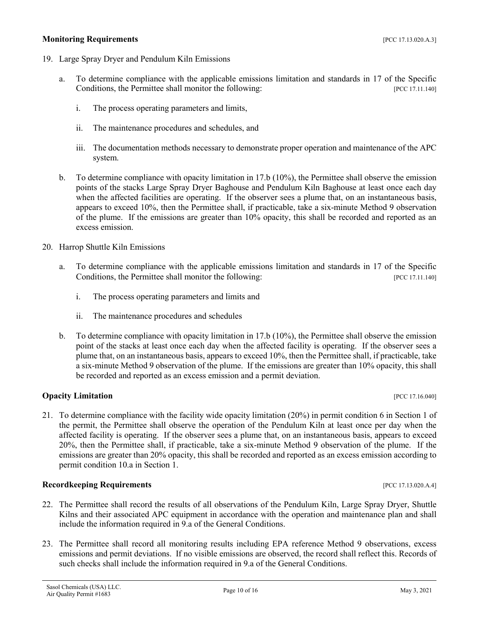#### **Monitoring Requirements and the sequence of the sequence of the sequence of the sequence of the sequence of the sequence of the sequence of the sequence of the sequence of the sequence of the sequence of the sequence of**

- 19. Large Spray Dryer and Pendulum Kiln Emissions
	- a. To determine compliance with the applicable emissions limitation and standards in 17 of the Specific Conditions, the Permittee shall monitor the following: [PCC 17.11.140]
		- i. The process operating parameters and limits,
		- ii. The maintenance procedures and schedules, and
		- iii. The documentation methods necessary to demonstrate proper operation and maintenance of the APC system.
	- b. To determine compliance with opacity limitation in 17.b (10%), the Permittee shall observe the emission points of the stacks Large Spray Dryer Baghouse and Pendulum Kiln Baghouse at least once each day when the affected facilities are operating. If the observer sees a plume that, on an instantaneous basis, appears to exceed 10%, then the Permittee shall, if practicable, take a six-minute Method 9 observation of the plume. If the emissions are greater than 10% opacity, this shall be recorded and reported as an excess emission.
- 20. Harrop Shuttle Kiln Emissions
	- a. To determine compliance with the applicable emissions limitation and standards in 17 of the Specific Conditions, the Permittee shall monitor the following: [PCC 17.11.140]
		- i. The process operating parameters and limits and
		- ii. The maintenance procedures and schedules
	- b. To determine compliance with opacity limitation in 17.b (10%), the Permittee shall observe the emission point of the stacks at least once each day when the affected facility is operating. If the observer sees a plume that, on an instantaneous basis, appears to exceed 10%, then the Permittee shall, if practicable, take a six-minute Method 9 observation of the plume. If the emissions are greater than 10% opacity, this shall be recorded and reported as an excess emission and a permit deviation.

#### **Opacity Limitation** [PCC 17.16.040]

21. To determine compliance with the facility wide opacity limitation (20%) in permit condition 6 in Section 1 of the permit, the Permittee shall observe the operation of the Pendulum Kiln at least once per day when the affected facility is operating. If the observer sees a plume that, on an instantaneous basis, appears to exceed 20%, then the Permittee shall, if practicable, take a six-minute Method 9 observation of the plume. If the emissions are greater than 20% opacity, this shall be recorded and reported as an excess emission according to permit condition 10.a in Section 1.

#### **Recordkeeping Requirements** [PCC 17.13.020.A.4]

- 22. The Permittee shall record the results of all observations of the Pendulum Kiln, Large Spray Dryer, Shuttle Kilns and their associated APC equipment in accordance with the operation and maintenance plan and shall include the information required in 9.a of the General Conditions.
- 23. The Permittee shall record all monitoring results including EPA reference Method 9 observations, excess emissions and permit deviations. If no visible emissions are observed, the record shall reflect this. Records of such checks shall include the information required in 9.a of the General Conditions.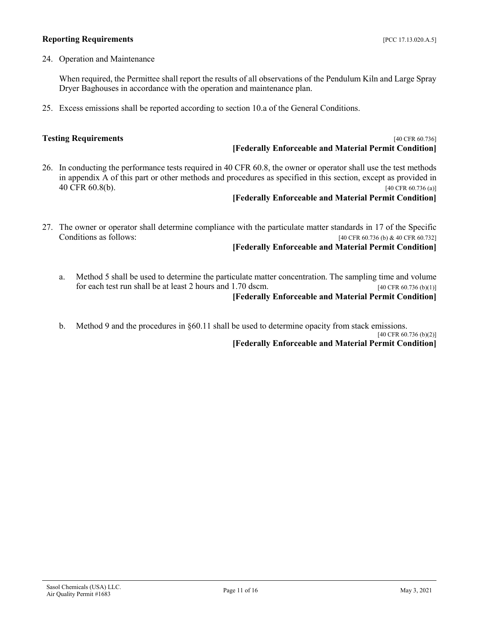#### **Reporting Requirements** *PCC 17.13.020.A.5*

24. Operation and Maintenance

When required, the Permittee shall report the results of all observations of the Pendulum Kiln and Large Spray Dryer Baghouses in accordance with the operation and maintenance plan.

25. Excess emissions shall be reported according to section 10.a of the General Conditions.

#### **Testing Requirements** [40 CFR 60.736] **[Federally Enforceable and Material Permit Condition]**

26. In conducting the performance tests required in 40 CFR 60.8, the owner or operator shall use the test methods in appendix A of this part or other methods and procedures as specified in this section, except as provided in 40 CFR 60.8(b). [40 CFR 60.736 (a)]

#### **[Federally Enforceable and Material Permit Condition]**

27. The owner or operator shall determine compliance with the particulate matter standards in 17 of the Specific Conditions as follows:  $[40 \text{ CFR } 60.736 \text{ (b) } \& 40 \text{ CFR } 60.732]$ [40 CFR 60.736 (b) & 40 CFR 60.732]

#### **[Federally Enforceable and Material Permit Condition]**

- a. Method 5 shall be used to determine the particulate matter concentration. The sampling time and volume for each test run shall be at least 2 hours and 1.70 dscm. [40 CFR 60.736 (b)(1)] **[Federally Enforceable and Material Permit Condition]**
- b. Method 9 and the procedures in §60.11 shall be used to determine opacity from stack emissions.

[40 CFR 60.736 (b)(2)]

**[Federally Enforceable and Material Permit Condition]**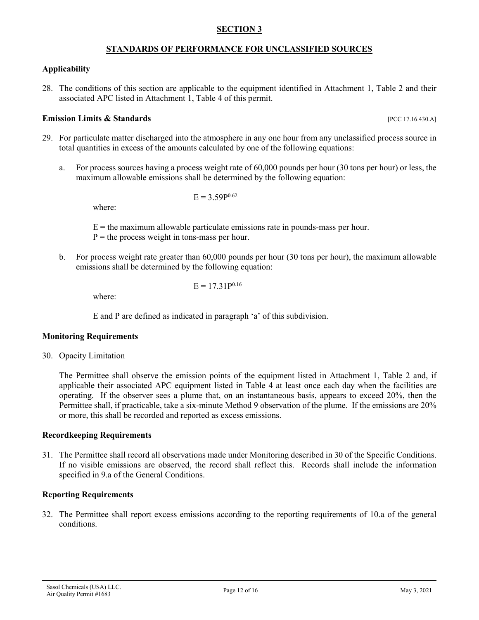#### **SECTION 3**

#### **STANDARDS OF PERFORMANCE FOR UNCLASSIFIED SOURCES**

#### **Applicability**

28. The conditions of this section are applicable to the equipment identified in Attachment 1, Table 2 and their associated APC listed in Attachment 1, Table 4 of this permit.

#### **Emission Limits & Standards Exercíal Exercíal Exercíal Exercíal Exercíal Exercíal Exercíal Exercíal Exercíal Exercíal Exercíal Exercíal Exercíal Exercíal Exercíal Exercíal Exercíal Exercíal Exercíal Exercíal Exercíal Ex**

- 29. For particulate matter discharged into the atmosphere in any one hour from any unclassified process source in total quantities in excess of the amounts calculated by one of the following equations:
	- a. For process sources having a process weight rate of 60,000 pounds per hour (30 tons per hour) or less, the maximum allowable emissions shall be determined by the following equation:

$$
E=3.59P^{0.62}
$$

where:

 $E =$  the maximum allowable particulate emissions rate in pounds-mass per hour.

- $P =$  the process weight in tons-mass per hour.
- b. For process weight rate greater than 60,000 pounds per hour (30 tons per hour), the maximum allowable emissions shall be determined by the following equation:

 $E = 17.31P^{0.16}$ 

where:

E and P are defined as indicated in paragraph 'a' of this subdivision.

#### **Monitoring Requirements**

30. Opacity Limitation

The Permittee shall observe the emission points of the equipment listed in Attachment 1, Table 2 and, if applicable their associated APC equipment listed in Table 4 at least once each day when the facilities are operating. If the observer sees a plume that, on an instantaneous basis, appears to exceed 20%, then the Permittee shall, if practicable, take a six-minute Method 9 observation of the plume. If the emissions are 20% or more, this shall be recorded and reported as excess emissions.

#### **Recordkeeping Requirements**

31. The Permittee shall record all observations made under Monitoring described in 30 of the Specific Conditions. If no visible emissions are observed, the record shall reflect this. Records shall include the information specified in 9.a of the General Conditions.

### **Reporting Requirements**

32. The Permittee shall report excess emissions according to the reporting requirements of 10.a of the general conditions.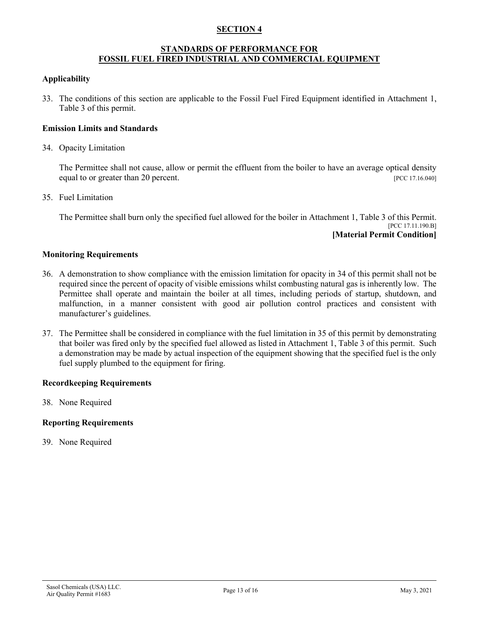#### **SECTION 4**

#### **STANDARDS OF PERFORMANCE FOR FOSSIL FUEL FIRED INDUSTRIAL AND COMMERCIAL EQUIPMENT**

#### **Applicability**

33. The conditions of this section are applicable to the Fossil Fuel Fired Equipment identified in Attachment 1, Table 3 of this permit.

#### **Emission Limits and Standards**

34. Opacity Limitation

The Permittee shall not cause, allow or permit the effluent from the boiler to have an average optical density equal to or greater than 20 percent. [PCC 17.16.040]

35. Fuel Limitation

The Permittee shall burn only the specified fuel allowed for the boiler in Attachment 1, Table 3 of this Permit. [PCC 17.11.190.B] **[Material Permit Condition]**

#### **Monitoring Requirements**

- 36. A demonstration to show compliance with the emission limitation for opacity in 34 of this permit shall not be required since the percent of opacity of visible emissions whilst combusting natural gas is inherently low. The Permittee shall operate and maintain the boiler at all times, including periods of startup, shutdown, and malfunction, in a manner consistent with good air pollution control practices and consistent with manufacturer's guidelines.
- 37. The Permittee shall be considered in compliance with the fuel limitation in 35 of this permit by demonstrating that boiler was fired only by the specified fuel allowed as listed in Attachment 1, Table 3 of this permit. Such a demonstration may be made by actual inspection of the equipment showing that the specified fuel is the only fuel supply plumbed to the equipment for firing.

#### **Recordkeeping Requirements**

38. None Required

#### **Reporting Requirements**

39. None Required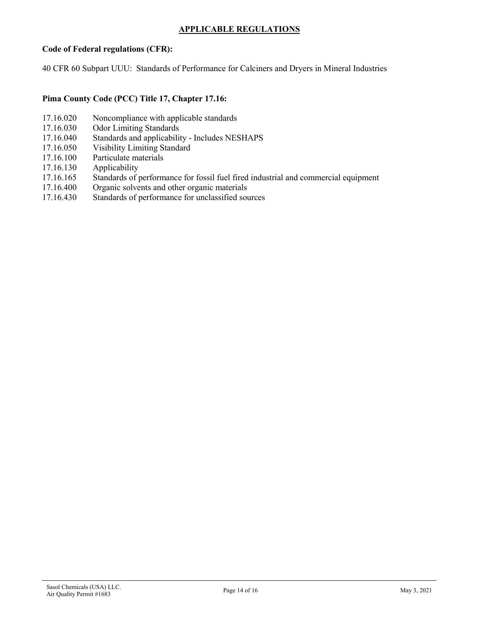### **APPLICABLE REGULATIONS**

#### **Code of Federal regulations (CFR):**

40 CFR 60 Subpart UUU: Standards of Performance for Calciners and Dryers in Mineral Industries

#### **Pima County Code (PCC) Title 17, Chapter 17.16:**

- 17.16.020 Noncompliance with applicable standards
- 17.16.030 Odor Limiting Standards<br>17.16.040 Standards and applicabili
- Standards and applicability Includes NESHAPS
- 17.16.050 Visibility Limiting Standard
- 17.16.100 Particulate materials
- 17.16.130 Applicability
- 17.16.165 Standards of performance for fossil fuel fired industrial and commercial equipment
- 17.16.400 Organic solvents and other organic materials
- 17.16.430 Standards of performance for unclassified sources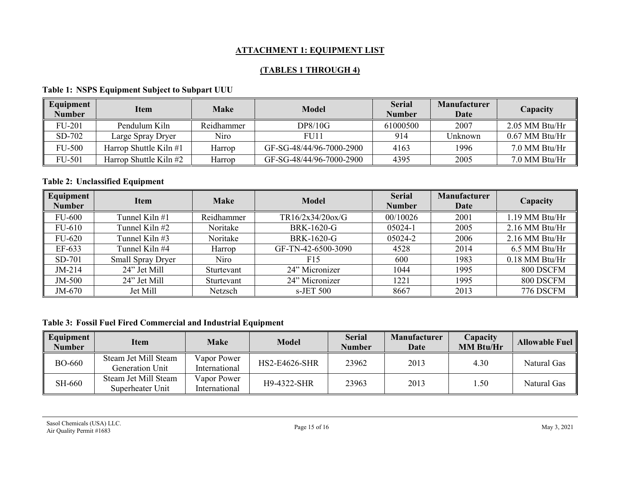# **ATTACHMENT 1: EQUIPMENT LIST**

# **(TABLES 1 THROUGH 4)**

# **Table 1: NSPS Equipment Subject to Subpart UUU**

| Equipment<br><b>Number</b> | <b>Item</b>              | <b>Make</b> | <b>Model</b>             | <b>Serial</b><br><b>Number</b> | <b>Manufacturer</b><br>Date | Capacity         |
|----------------------------|--------------------------|-------------|--------------------------|--------------------------------|-----------------------------|------------------|
| <b>FU-201</b>              | Pendulum Kiln            | Reidhammer  | <b>DP8/10G</b>           | 61000500                       | 2007                        | $2.05$ MM Btu/Hr |
| SD-702                     | Large Spray Dryer        | Niro        | <b>FU11</b>              | 914                            | Unknown                     | $0.67$ MM Btu/Hr |
| <b>FU-500</b>              | Harrop Shuttle Kiln $#1$ | Harrop      | GF-SG-48/44/96-7000-2900 | 4163                           | 1996                        | 7.0 MM Btu/Hr    |
| <b>FU-501</b>              | Harrop Shuttle Kiln $#2$ | Harrop      | GF-SG-48/44/96-7000-2900 | 4395                           | 2005                        | 7.0 MM Btu/Hr    |

# **Table 2: Unclassified Equipment**

| Equipment<br><b>Number</b> | <b>Item</b>              | <b>Make</b> | <b>Model</b>       | <b>Serial</b><br><b>Number</b> | <b>Manufacturer</b><br>Date | Capacity         |
|----------------------------|--------------------------|-------------|--------------------|--------------------------------|-----------------------------|------------------|
| <b>FU-600</b>              | Tunnel Kiln $#1$         | Reidhammer  | TR16/2x34/20ox/G   | 00/10026                       | 2001                        | 1.19 MM Btu/Hr   |
| FU-610                     | Tunnel Kiln #2           | Noritake    | BRK-1620-G         | 05024-1                        | 2005                        | 2.16 MM Btu/Hr   |
| <b>FU-620</b>              | Tunnel Kiln #3           | Noritake    | BRK-1620-G         | 05024-2                        | 2006                        | 2.16 MM Btu/Hr   |
| EF-633                     | Tunnel Kiln #4           | Harrop      | GF-TN-42-6500-3090 | 4528                           | 2014                        | 6.5 MM Btu/Hr    |
| $SD-701$                   | <b>Small Spray Dryer</b> | Niro        | F15                | 600                            | 1983                        | $0.18$ MM Btu/Hr |
| $JM-214$                   | 24" Jet Mill             | Sturtevant  | 24" Micronizer     | 1044                           | 1995                        | 800 DSCFM        |
| JM-500                     | 24" Jet Mill             | Sturtevant  | 24" Micronizer     | 1221                           | 1995                        | 800 DSCFM        |
| JM-670                     | Jet Mill                 | Netzsch     | s-JET 500          | 8667                           | 2013                        | 776 DSCFM        |

# **Table 3: Fossil Fuel Fired Commercial and Industrial Equipment**

| $\parallel$ Equipment<br><b>Number</b> | Item                                     | <b>Make</b>                  | <b>Model</b>         | <b>Serial</b><br><b>Number</b> | Manufacturer<br>Date | Capacity<br><b>MM Btu/Hr</b> | <b>Allowable Fuel</b> |
|----------------------------------------|------------------------------------------|------------------------------|----------------------|--------------------------------|----------------------|------------------------------|-----------------------|
| <b>BO-660</b>                          | Steam Jet Mill Steam<br>Generation Unit  | Vapor Power<br>International | <b>HS2-E4626-SHR</b> | 23962                          | 2013                 | 4.30                         | Natural Gas           |
| SH-660                                 | Steam Jet Mill Steam<br>Superheater Unit | Vapor Power<br>International | H9-4322-SHR          | 23963                          | 2013                 | .50                          | Natural Gas           |